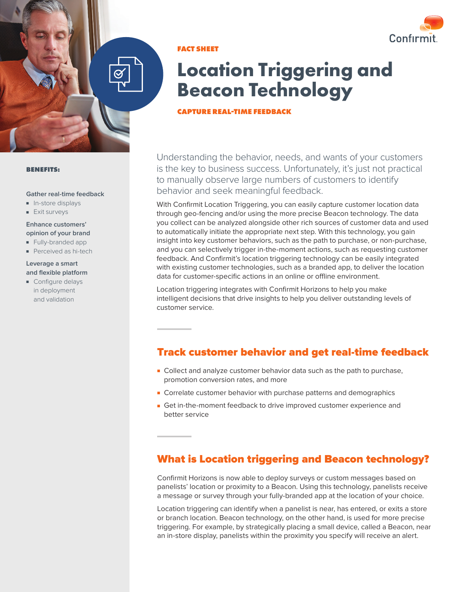

**FACT SHEET**

# **Location Triggering and Beacon Technology**

#### **CAPTURE REAL-TIME FEEDBACK**

Understanding the behavior, needs, and wants of your customers is the key to business success. Unfortunately, it's just not practical to manually observe large numbers of customers to identify behavior and seek meaningful feedback.

With Confirmit Location Triggering, you can easily capture customer location data through geo-fencing and/or using the more precise Beacon technology. The data you collect can be analyzed alongside other rich sources of customer data and used to automatically initiate the appropriate next step. With this technology, you gain insight into key customer behaviors, such as the path to purchase, or non-purchase, and you can selectively trigger in-the-moment actions, such as requesting customer feedback. And Confirmit's location triggering technology can be easily integrated with existing customer technologies, such as a branded app, to deliver the location data for customer-specific actions in an online or offline environment.

Location triggering integrates with Confirmit Horizons to help you make intelligent decisions that drive insights to help you deliver outstanding levels of customer service.

## Track customer behavior and get real-time feedback

- Collect and analyze customer behavior data such as the path to purchase, promotion conversion rates, and more
- Correlate customer behavior with purchase patterns and demographics
- Get in-the-moment feedback to drive improved customer experience and better service

# What is Location triggering and Beacon technology?

Confirmit Horizons is now able to deploy surveys or custom messages based on panelists' location or proximity to a Beacon. Using this technology, panelists receive a message or survey through your fully-branded app at the location of your choice.

Location triggering can identify when a panelist is near, has entered, or exits a store or branch location. Beacon technology, on the other hand, is used for more precise triggering. For example, by strategically placing a small device, called a Beacon, near an in-store display, panelists within the proximity you specify will receive an alert.

#### **BENEFITS:**

#### **Gather real-time feedback**

- In-store displays
- Exit surveys

#### **Enhance customers' opinion of your brand**

- Fully-branded app
- Perceived as hi-tech

#### **Leverage a smart and flexible platform**

■ Configure delays in deployment and validation